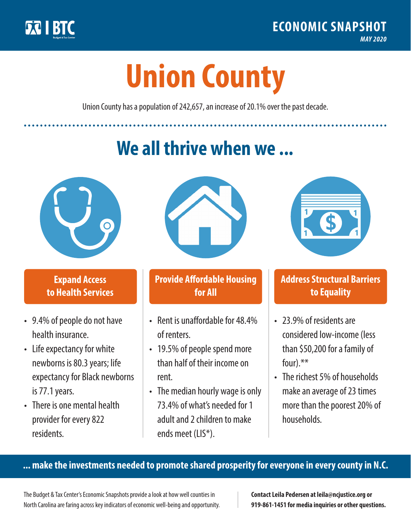

**1**

# **Union County**

Union County has a population of 242,657, an increase of 20.1% over the past decade.

# **We all thrive when we ...**



**\$ <sup>1</sup>**

**\$ <sup>1</sup>**

## **Expand Access to Health Services**

- 9.4% of people do not have health insurance.
- Life expectancy for white newborns is 80.3years; life expectancy for Black newborns is 77.1years.
- There is one mental health provider for every 822 residents.



## **Provide Affordable Housing for All**

- Rent is unaffordable for 48.4% of renters.
- 19.5% of people spend more than half of their income on rent.
- The median hourly wage is only 73.4% of what's needed for 1 adult and 2 children to make ends meet (LIS\*).



## **Address Structural Barriers to Equality**

- 23.9% of residents are considered low-income (less than \$50,200 for a family of four).\*\*
- The richest 5% of households make an average of 23 times more than the poorest 20% of households.

#### **... make the investments needed to promote shared prosperity for everyone in every county in N.C.**

The Budget & Tax Center's Economic Snapshots provide a look at how well counties in North Carolina are faring across key indicators of economic well-being and opportunity.